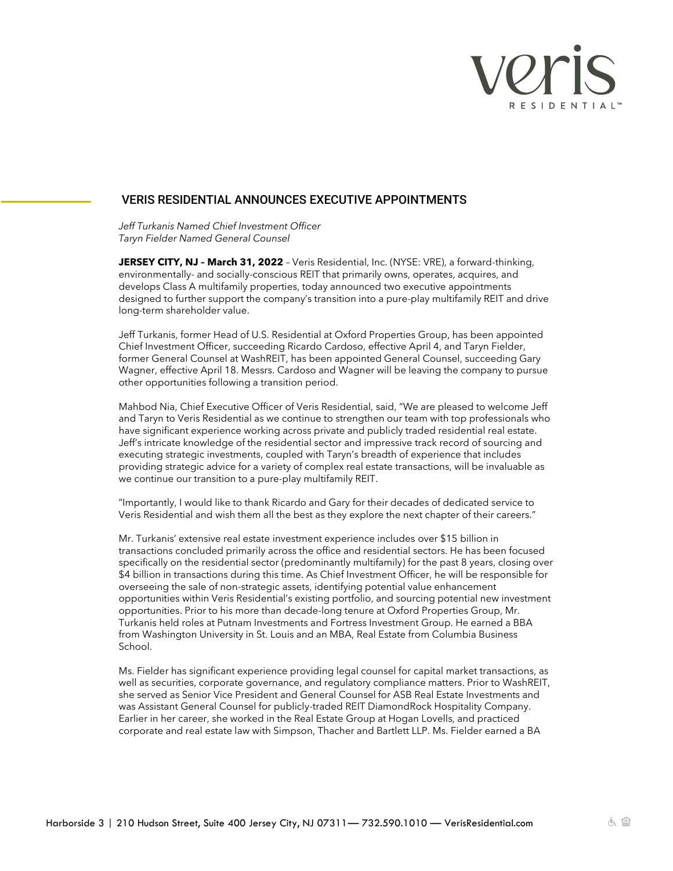

## VERIS RESIDENTIAL ANNOUNCES EXECUTIVE APPOINTMENTS

*Jeff Turkanis Named Chief Investment Officer Taryn Fielder Named General Counsel*

**JERSEY CITY, NJ – March 31, 2022** – Veris Residential, Inc. (NYSE: VRE), a forward-thinking, environmentally- and socially-conscious REIT that primarily owns, operates, acquires, and develops Class A multifamily properties, today announced two executive appointments designed to further support the company's transition into a pure-play multifamily REIT and drive long-term shareholder value.

Jeff Turkanis, former Head of U.S. Residential at Oxford Properties Group, has been appointed Chief Investment Officer, succeeding Ricardo Cardoso, effective April 4, and Taryn Fielder, former General Counsel at WashREIT, has been appointed General Counsel, succeeding Gary Wagner, effective April 18. Messrs. Cardoso and Wagner will be leaving the company to pursue other opportunities following a transition period.

Mahbod Nia, Chief Executive Officer of Veris Residential, said, "We are pleased to welcome Jeff and Taryn to Veris Residential as we continue to strengthen our team with top professionals who have significant experience working across private and publicly traded residential real estate. Jeff's intricate knowledge of the residential sector and impressive track record of sourcing and executing strategic investments, coupled with Taryn's breadth of experience that includes providing strategic advice for a variety of complex real estate transactions, will be invaluable as we continue our transition to a pure-play multifamily REIT.

"Importantly, I would like to thank Ricardo and Gary for their decades of dedicated service to Veris Residential and wish them all the best as they explore the next chapter of their careers."

Mr. Turkanis' extensive real estate investment experience includes over \$15 billion in transactions concluded primarily across the office and residential sectors. He has been focused specifically on the residential sector (predominantly multifamily) for the past 8 years, closing over \$4 billion in transactions during this time. As Chief Investment Officer, he will be responsible for overseeing the sale of non-strategic assets, identifying potential value enhancement opportunities within Veris Residential's existing portfolio, and sourcing potential new investment opportunities. Prior to his more than decade-long tenure at Oxford Properties Group, Mr. Turkanis held roles at Putnam Investments and Fortress Investment Group. He earned a BBA from Washington University in St. Louis and an MBA, Real Estate from Columbia Business School.

Ms. Fielder has significant experience providing legal counsel for capital market transactions, as well as securities, corporate governance, and regulatory compliance matters. Prior to WashREIT, she served as Senior Vice President and General Counsel for ASB Real Estate Investments and was Assistant General Counsel for publicly-traded REIT DiamondRock Hospitality Company. Earlier in her career, she worked in the Real Estate Group at Hogan Lovells, and practiced corporate and real estate law with Simpson, Thacher and Bartlett LLP. Ms. Fielder earned a BA